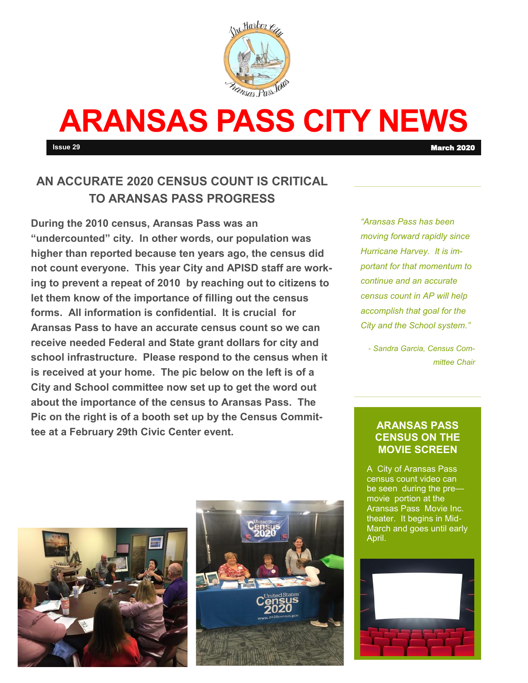

# **ARANSAS PASS CITY NEWS**

**Issue 29** March 2020

## **AN ACCURATE 2020 CENSUS COUNT IS CRITICAL TO ARANSAS PASS PROGRESS**

**During the 2010 census, Aransas Pass was an "undercounted" city. In other words, our population was higher than reported because ten years ago, the census did not count everyone. This year City and APISD staff are working to prevent a repeat of 2010 by reaching out to citizens to let them know of the importance of filling out the census forms. All information is confidential. It is crucial for Aransas Pass to have an accurate census count so we can receive needed Federal and State grant dollars for city and school infrastructure. Please respond to the census when it is received at your home. The pic below on the left is of a City and School committee now set up to get the word out about the importance of the census to Aransas Pass. The Pic on the right is of a booth set up by the Census Committee at a February 29th Civic Center event.** 

*"Aransas Pass has been moving forward rapidly since Hurricane Harvey. It is important for that momentum to continue and an accurate census count in AP will help accomplish that goal for the City and the School system."*

*- Sandra Garcia, Census Committee Chair*

#### **ARANSAS PASS CENSUS ON THE MOVIE SCREEN**

A City of Aransas Pass census count video can be seen during the pre movie portion at the Aransas Pass Movie Inc. theater. It begins in Mid-March and goes until early April.



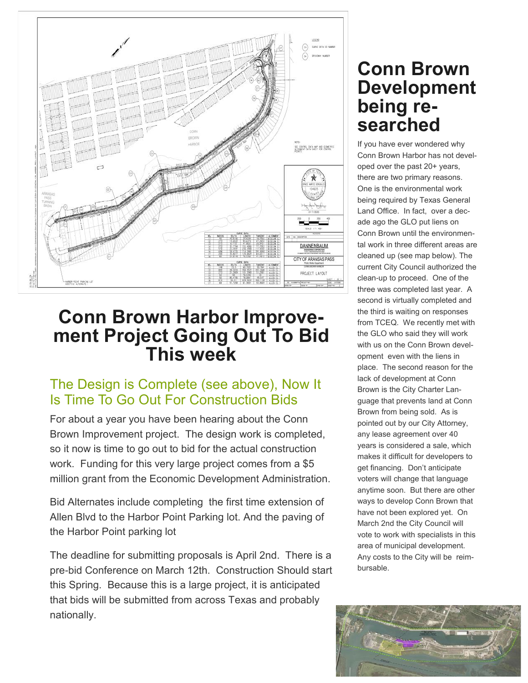

## **Conn Brown Harbor Improvement Project Going Out To Bid This week**

## The Design is Complete (see above), Now It Is Time To Go Out For Construction Bids

For about a year you have been hearing about the Conn Brown Improvement project. The design work is completed, so it now is time to go out to bid for the actual construction work. Funding for this very large project comes from a \$5 million grant from the Economic Development Administration.

Bid Alternates include completing the first time extension of Allen Blvd to the Harbor Point Parking lot. And the paving of the Harbor Point parking lot

The deadline for submitting proposals is April 2nd. There is a pre-bid Conference on March 12th. Construction Should start this Spring. Because this is a large project, it is anticipated that bids will be submitted from across Texas and probably nationally.

## **Conn Brown Development being researched**

If you have ever wondered why Conn Brown Harbor has not developed over the past 20+ years, there are two primary reasons. One is the environmental work being required by Texas General Land Office. In fact, over a decade ago the GLO put liens on Conn Brown until the environmental work in three different areas are cleaned up (see map below). The current City Council authorized the clean-up to proceed. One of the three was completed last year. A second is virtually completed and the third is waiting on responses from TCEQ. We recently met with the GLO who said they will work with us on the Conn Brown development even with the liens in place. The second reason for the lack of development at Conn Brown is the City Charter Language that prevents land at Conn Brown from being sold. As is pointed out by our City Attorney, any lease agreement over 40 years is considered a sale, which makes it difficult for developers to get financing. Don't anticipate voters will change that language anytime soon. But there are other ways to develop Conn Brown that have not been explored yet. On March 2nd the City Council will vote to work with specialists in this area of municipal development. Any costs to the City will be reimbursable.

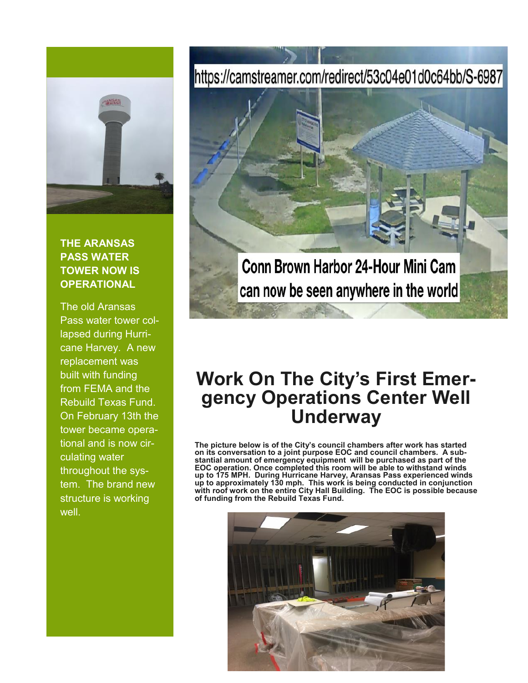

#### **THE ARANSAS PASS WATER TOWER NOW IS OPERATIONAL**

The old Aransas Pass water tower collapsed during Hurricane Harvey. A new replacement was built with funding from FEMA and the Rebuild Texas Fund. On February 13th the tower became operational and is now circulating water throughout the system. The brand new structure is working well.

# https://camstreamer.com/redirect/53c04e01d0c64bb/S-6987



## **Work On The City's First Emergency Operations Center Well Underway**

**The picture below is of the City's council chambers after work has started on its conversation to a joint purpose EOC and council chambers. A substantial amount of emergency equipment will be purchased as part of the EOC operation. Once completed this room will be able to withstand winds up to 175 MPH. During Hurricane Harvey, Aransas Pass experienced winds up to approximately 130 mph. This work is being conducted in conjunction with roof work on the entire City Hall Building. The EOC is possible because of funding from the Rebuild Texas Fund.**